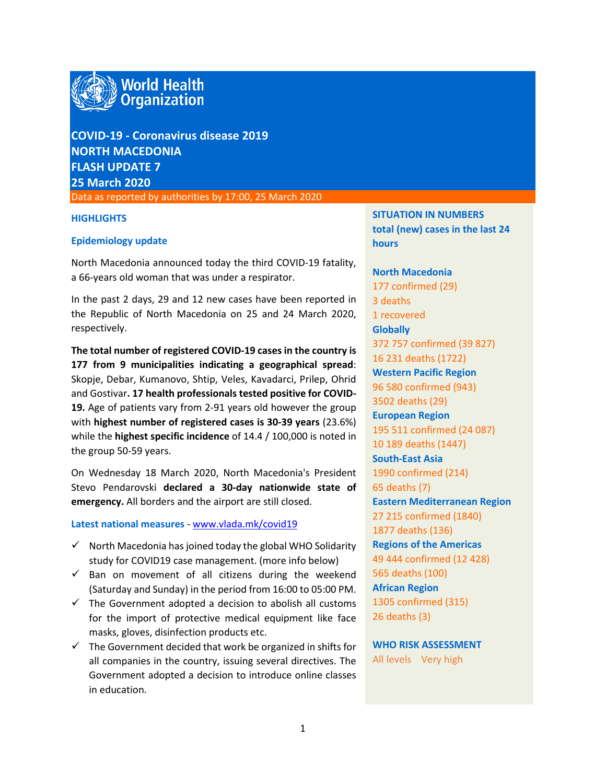

**COVID-19 - Coronavirus disease 2019 NORTH MACEDONIA FLASH UPDATE 7 25 March 2020**

Data as reported by authorities by 17:00, 25 March 2020

### **HIGHLIGHTS**

### **Epidemiology update**

North Macedonia announced today the third COVID-19 fatality, a 66-years old woman that was under a respirator.

In the past 2 days, 29 and 12 new cases have been reported in the Republic of North Macedonia on 25 and 24 March 2020, respectively.

**The total number of registered COVID-19 cases in the country is 177 from 9 municipalities indicating a geographical spread**: Skopje, Debar, Kumanovo, Shtip, Veles, Kavadarci, Prilep, Ohrid and Gostivar**. 17 health professionals tested positive for COVID-19.** Age of patients vary from 2-91 years old however the group with **highest number of registered cases is 30-39 years** (23.6%) while the **highest specific incidence** of 14.4 / 100,000 is noted in the group 50-59 years.

On Wednesday 18 March 2020, North Macedonia's President Stevo Pendarovski **declared a 30-day nationwide state of emergency.** All borders and the airport are still closed.

### **Latest national measures** - [www.vlada.mk/covid19](http://www.vlada.mk/covid19)

- $\checkmark$  North Macedonia has joined today the global WHO Solidarity study for COVID19 case management. (more info below)
- $\checkmark$  Ban on movement of all citizens during the weekend (Saturday and Sunday) in the period from 16:00 to 05:00 PM.
- $\checkmark$  The Government adopted a decision to abolish all customs for the import of protective medical equipment like face masks, gloves, disinfection products etc.
- $\checkmark$  The Government decided that work be organized in shifts for all companies in the country, issuing several directives. The Government adopted a decision to introduce online classes in education.

**SITUATION IN NUMBERS total (new) cases in the last 24 hours**

**North Macedonia** 177 confirmed (29) 3 deaths 1 recovered **Globally**  372 757 confirmed (39 827) 16 231 deaths (1722) **Western Pacific Region** 96 580 confirmed (943) 3502 deaths (29) **European Region** 195 511 confirmed (24 087) 10 189 deaths (1447) **South-East Asia** 1990 confirmed (214) 65 deaths (7) **Eastern Mediterranean Region** 27 215 confirmed (1840) 1877 deaths (136) **Regions of the Americas** 49 444 confirmed (12 428) 565 deaths (100) **African Region** 1305 confirmed (315) 26 deaths (3)

**WHO RISK ASSESSMENT**  All levels Very high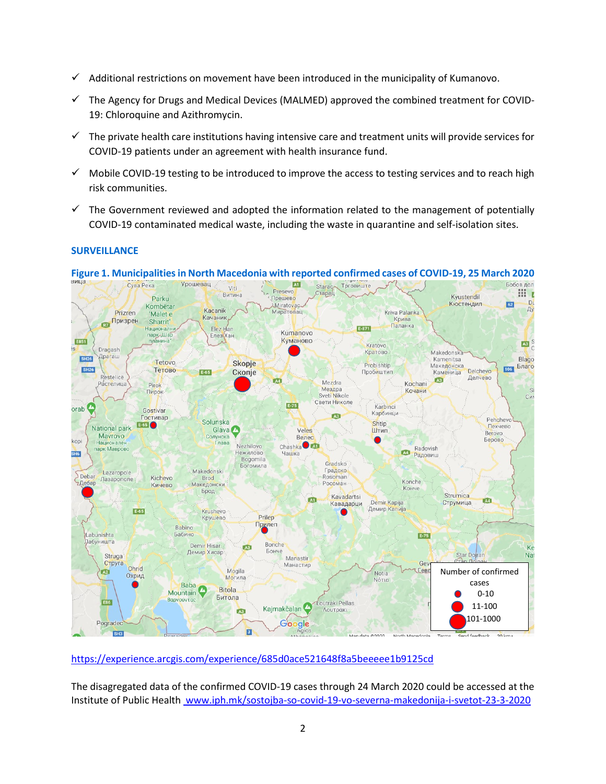- $\checkmark$  Additional restrictions on movement have been introduced in the municipality of Kumanovo.
- $\checkmark$  The Agency for Drugs and Medical Devices (MALMED) approved the combined treatment for COVID-19: Chloroquine and Azithromycin.
- $\checkmark$  The private health care institutions having intensive care and treatment units will provide services for COVID-19 patients under an agreement with health insurance fund.
- $\checkmark$  Mobile COVID-19 testing to be introduced to improve the access to testing services and to reach high risk communities.
- $\checkmark$  The Government reviewed and adopted the information related to the management of potentially COVID-19 contaminated medical waste, including the waste in quarantine and self-isolation sites.

# **SURVEILLANCE**



# **Figure 1. Municipalitiesin North Macedonia with reported confirmed cases of COVID-19, 25 March 2020**

<https://experience.arcgis.com/experience/685d0ace521648f8a5beeeee1b9125cd>

The disagregated data of the confirmed COVID-19 cases through 24 March 2020 could be accessed at the Institute of Public Health www.iph.mk/sostojba-so-covid-19-vo-severna-makedonija-i-svetot-23-3-2020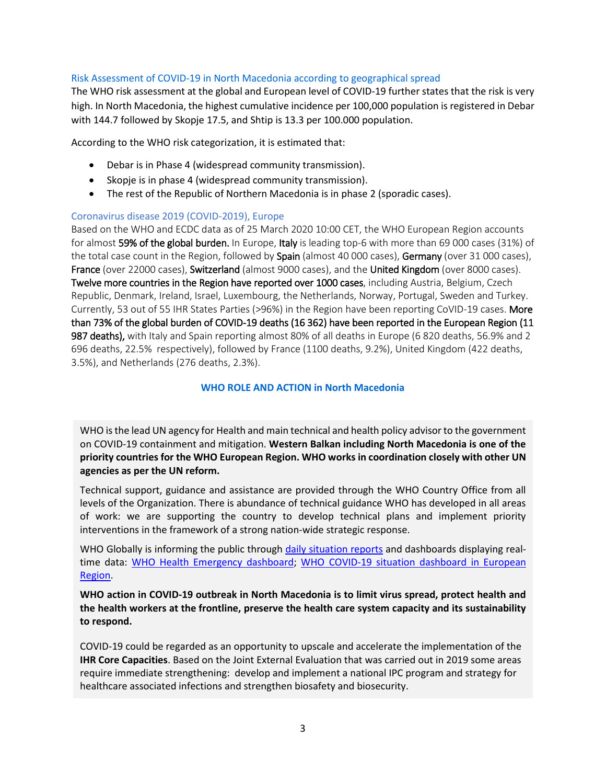# Risk Assessment of COVID-19 in North Macedonia according to geographical spread

The WHO risk assessment at the global and European level of COVID-19 further states that the risk is very high. In North Macedonia, the highest cumulative incidence per 100,000 population is registered in Debar with 144.7 followed by Skopje 17.5, and Shtip is 13.3 per 100.000 population.

According to the WHO risk categorization, it is estimated that:

- Debar is in Phase 4 (widespread community transmission).
- Skopje is in phase 4 (widespread community transmission).
- The rest of the Republic of Northern Macedonia is in phase 2 (sporadic cases).

# Coronavirus disease 2019 (COVID-2019), Europe

Based on the WHO and ECDC data as of 25 March 2020 10:00 CET, the WHO European Region accounts for almost 59% of the global burden. In Europe, Italy is leading top-6 with more than 69 000 cases (31%) of the total case count in the Region, followed by Spain (almost 40 000 cases), Germany (over 31 000 cases), France (over 22000 cases), Switzerland (almost 9000 cases), and the United Kingdom (over 8000 cases). Twelve more countries in the Region have reported over 1000 cases, including Austria, Belgium, Czech Republic, Denmark, Ireland, Israel, Luxembourg, the Netherlands, Norway, Portugal, Sweden and Turkey. Currently, 53 out of 55 IHR States Parties (>96%) in the Region have been reporting CoVID-19 cases. More than 73% of the global burden of COVID-19 deaths (16 362) have been reported in the European Region (11 987 deaths), with Italy and Spain reporting almost 80% of all deaths in Europe (6 820 deaths, 56.9% and 2 696 deaths, 22.5% respectively), followed by France (1100 deaths, 9.2%), United Kingdom (422 deaths, 3.5%), and Netherlands (276 deaths, 2.3%).

# **WHO ROLE AND ACTION in North Macedonia**

WHO is the lead UN agency for Health and main technical and health policy advisor to the government on COVID-19 containment and mitigation. **Western Balkan including North Macedonia is one of the priority countries for the WHO European Region. WHO works in coordination closely with other UN agencies as per the UN reform.** 

Technical support, guidance and assistance are provided through the WHO Country Office from all levels of the Organization. There is abundance of technical guidance WHO has developed in all areas of work: we are supporting the country to develop technical plans and implement priority interventions in the framework of a strong nation-wide strategic response.

WHO Globally is informing the public through [daily situation reports](https://www.who.int/emergencies/diseases/novel-coronavirus-2019/situation-reports/) and dashboards displaying real-time data: [WHO Health Emergency dashboard;](https://extranet.who.int/publicemergency) WHO COVID-19 situation dashboard in European [Region.](http://who.maps.arcgis.com/apps/opsdashboard/index.html#/ead3c6475654481ca51c248d52ab9c61)

**WHO action in COVID-19 outbreak in North Macedonia is to limit virus spread, protect health and the health workers at the frontline, preserve the health care system capacity and its sustainability to respond.** 

COVID-19 could be regarded as an opportunity to upscale and accelerate the implementation of the **IHR Core Capacities**. Based on the Joint External Evaluation that was carried out in 2019 some areas require immediate strengthening: develop and implement a national IPC program and strategy for healthcare associated infections and strengthen biosafety and biosecurity.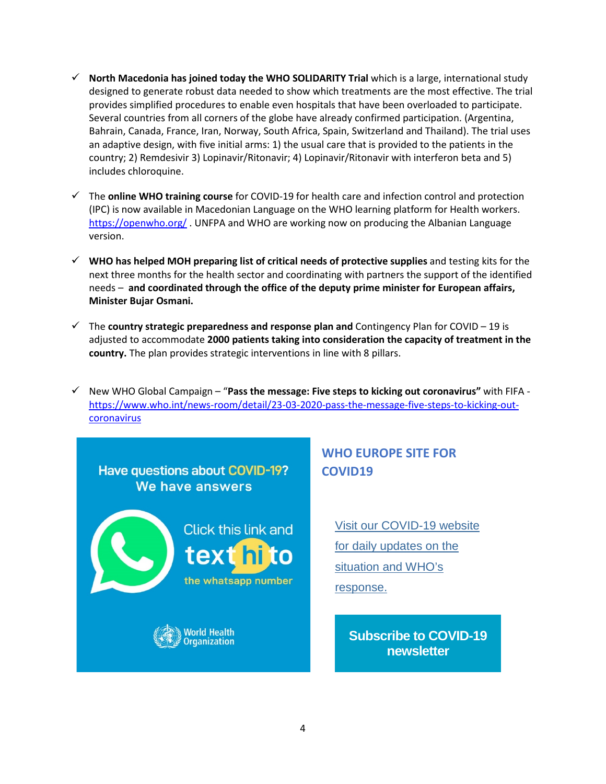- $\checkmark$  North Macedonia has joined today the WHO SOLIDARITY Trial which is a large, international study designed to generate robust data needed to show which treatments are the most effective. The trial provides simplified procedures to enable even hospitals that have been overloaded to participate. Several countries from all corners of the globe have already confirmed participation. (Argentina, Bahrain, Canada, France, Iran, Norway, South Africa, Spain, Switzerland and Thailand). The trial uses an adaptive design, with five initial arms: 1) the usual care that is provided to the patients in the country; 2) Remdesivir 3) Lopinavir/Ritonavir; 4) Lopinavir/Ritonavir with interferon beta and 5) includes chloroquine.
- The **online WHO training course** for COVID-19 for health care and infection control and protection (IPC) is now available in Macedonian Language on the WHO learning platform for Health workers. <https://openwho.org/> . UNFPA and WHO are working now on producing the Albanian Language version.
- **WHO has helped MOH preparing list of critical needs of protective supplies** and testing kits for the next three months for the health sector and coordinating with partners the support of the identified needs – **and coordinated through the office of the deputy prime minister for European affairs, Minister Bujar Osmani.**
- $\checkmark$  The **country strategic preparedness and response plan and** Contingency Plan for COVID 19 is adjusted to accommodate **2000 patients taking into consideration the capacity of treatment in the country.** The plan provides strategic interventions in line with 8 pillars.
- New WHO Global Campaign "**Pass the message: Five steps to kicking out coronavirus"** with FIFA [https://www.who.int/news-room/detail/23-03-2020-pass-the-message-five-steps-to-kicking-out](https://www.who.int/news-room/detail/23-03-2020-pass-the-message-five-steps-to-kicking-out-coronavirus)**[coronavirus](https://www.who.int/news-room/detail/23-03-2020-pass-the-message-five-steps-to-kicking-out-coronavirus)**



# **WHO EUROPE SITE FOR COVID19**

[Visit our COVID-19 website](https://who.us4.list-manage.com/track/click?u=bb832ff4c9f8efad547ffcf69&id=56c0d4be06&e=697570a155)  [for daily updates on the](https://who.us4.list-manage.com/track/click?u=bb832ff4c9f8efad547ffcf69&id=56c0d4be06&e=697570a155)  [situation and WHO's](https://who.us4.list-manage.com/track/click?u=bb832ff4c9f8efad547ffcf69&id=56c0d4be06&e=697570a155)  [response.](https://who.us4.list-manage.com/track/click?u=bb832ff4c9f8efad547ffcf69&id=56c0d4be06&e=697570a155)

**[Subscribe to COVID-19](https://who.us4.list-manage.com/track/click?u=bb832ff4c9f8efad547ffcf69&id=8b22085158&e=697570a155)  [newsletter](https://who.us4.list-manage.com/track/click?u=bb832ff4c9f8efad547ffcf69&id=8b22085158&e=697570a155)**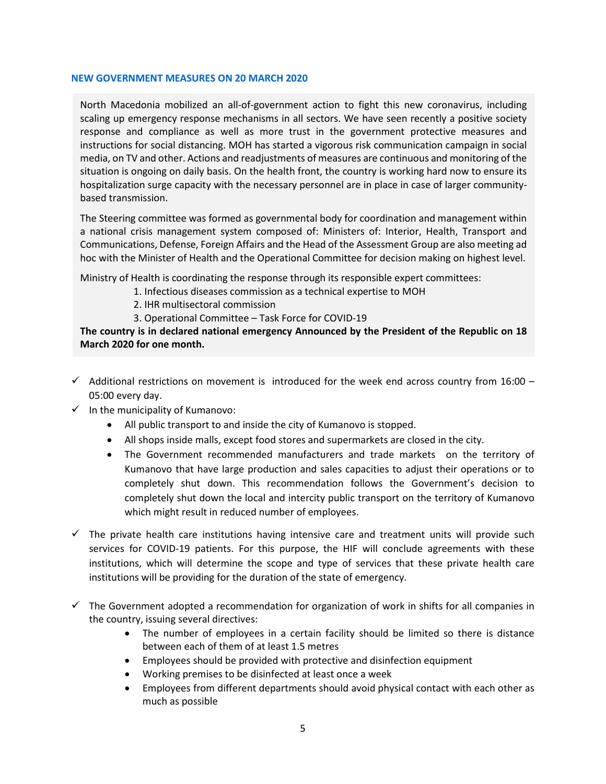### **NEW GOVERNMENT MEASURES ON 20 MARCH 2020**

North Macedonia mobilized an all-of-government action to fight this new coronavirus, including scaling up emergency response mechanisms in all sectors. We have seen recently a positive society response and compliance as well as more trust in the government protective measures and instructions for social distancing. MOH has started a vigorous risk communication campaign in social media, on TV and other. Actions and readjustments of measures are continuous and monitoring of the situation is ongoing on daily basis. On the health front, the country is working hard now to ensure its hospitalization surge capacity with the necessary personnel are in place in case of larger communitybased transmission.

The Steering committee was formed as governmental body for coordination and management within a national crisis management system composed of: Ministers of: Interior, Health, Transport and Communications, Defense, Foreign Affairs and the Head of the Assessment Group are also meeting ad hoc with the Minister of Health and the Operational Committee for decision making on highest level.

Ministry of Health is coordinating the response through its responsible expert committees:

- 1. Infectious diseases commission as a technical expertise to MOH
	- 2. IHR multisectoral commission
	- 3. Operational Committee Task Force for COVID-19

**The country is in declared national emergency Announced by the President of the Republic on 18 March 2020 for one month.** 

- $\checkmark$  Additional restrictions on movement is introduced for the week end across country from 16:00 05:00 every day.
- $\checkmark$  In the municipality of Kumanovo:
	- All public transport to and inside the city of Kumanovo is stopped.
	- All shops inside malls, except food stores and supermarkets are closed in the city.
	- The Government recommended manufacturers and trade markets on the territory of Kumanovo that have large production and sales capacities to adjust their operations or to completely shut down. This recommendation follows the Government's decision to completely shut down the local and intercity public transport on the territory of Kumanovo which might result in reduced number of employees.
- $\checkmark$  The private health care institutions having intensive care and treatment units will provide such services for COVID-19 patients. For this purpose, the HIF will conclude agreements with these institutions, which will determine the scope and type of services that these private health care institutions will be providing for the duration of the state of emergency.
- $\checkmark$  The Government adopted a recommendation for organization of work in shifts for all companies in the country, issuing several directives:
	- The number of employees in a certain facility should be limited so there is distance between each of them of at least 1.5 metres
	- Employees should be provided with protective and disinfection equipment
	- Working premises to be disinfected at least once a week
	- Employees from different departments should avoid physical contact with each other as much as possible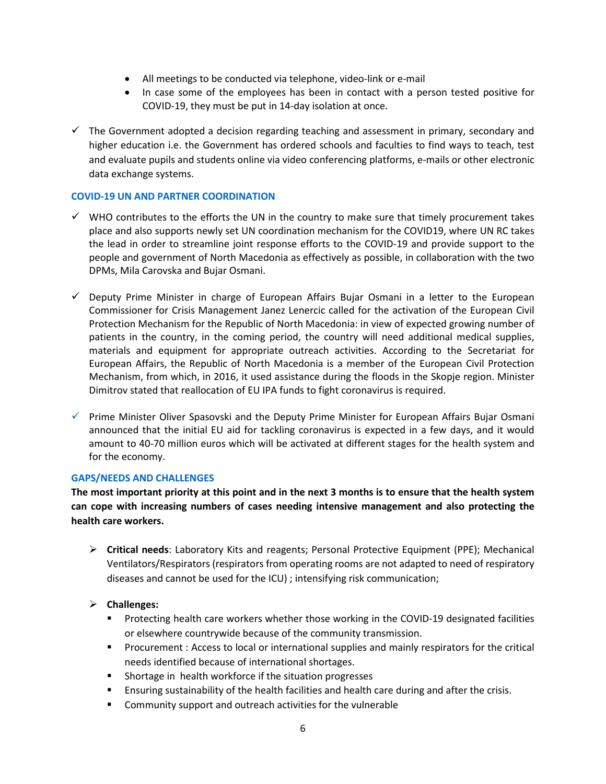- All meetings to be conducted via telephone, video-link or e-mail
- In case some of the employees has been in contact with a person tested positive for COVID-19, they must be put in 14-day isolation at once.
- $\checkmark$  The Government adopted a decision regarding teaching and assessment in primary, secondary and higher education i.e. the Government has ordered schools and faculties to find ways to teach, test and evaluate pupils and students online via video conferencing platforms, e-mails or other electronic data exchange systems.

# **COVID-19 UN AND PARTNER COORDINATION**

- $\checkmark$  WHO contributes to the efforts the UN in the country to make sure that timely procurement takes place and also supports newly set UN coordination mechanism for the COVID19, where UN RC takes the lead in order to streamline joint response efforts to the COVID-19 and provide support to the people and government of North Macedonia as effectively as possible, in collaboration with the two DPMs, Mila Carovska and Bujar Osmani.
- $\checkmark$  Deputy Prime Minister in charge of European Affairs Bujar Osmani in a letter to the European Commissioner for Crisis Management Janez Lenercic called for the activation of the European Civil Protection Mechanism for the Republic of North Macedonia: in view of expected growing number of patients in the country, in the coming period, the country will need additional medical supplies, materials and equipment for appropriate outreach activities. According to the Secretariat for European Affairs, the Republic of North Macedonia is a member of the European Civil Protection Mechanism, from which, in 2016, it used assistance during the floods in the Skopje region. Minister Dimitrov stated that reallocation of EU IPA funds to fight coronavirus is required.
- $\checkmark$  Prime Minister Oliver Spasovski and the Deputy Prime Minister for European Affairs Bujar Osmani announced that the initial EU aid for tackling coronavirus is expected in a few days, and it would amount to 40-70 million euros which will be activated at different stages for the health system and for the economy.

# **GAPS/NEEDS AND CHALLENGES**

**The most important priority at this point and in the next 3 months is to ensure that the health system can cope with increasing numbers of cases needing intensive management and also protecting the health care workers.**

 **Critical needs**: Laboratory Kits and reagents; Personal Protective Equipment (PPE); Mechanical Ventilators/Respirators (respirators from operating rooms are not adapted to need of respiratory diseases and cannot be used for the ICU) ; intensifying risk communication;

# **Challenges:**

- **Protecting health care workers whether those working in the COVID-19 designated facilities** or elsewhere countrywide because of the community transmission.
- **Procurement : Access to local or international supplies and mainly respirators for the critical** needs identified because of international shortages.
- **Shortage in health workforce if the situation progresses**
- **Ensuring sustainability of the health facilities and health care during and after the crisis.**
- **EXECOMMUNITY SUPPORT AND OUT ACTIVALLY COMMUNITY COMMUNITY**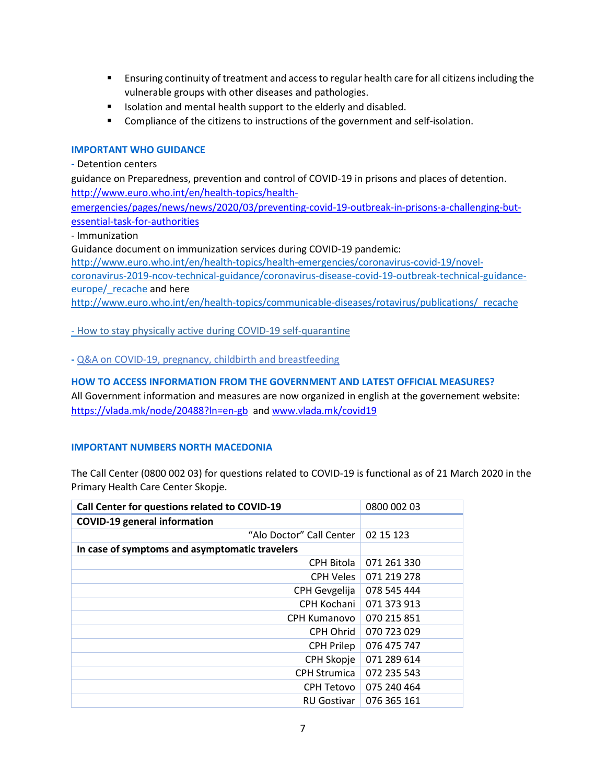- **E** Ensuring continuity of treatment and access to regular health care for all citizens including the vulnerable groups with other diseases and pathologies.
- **ISOLATE:** Isolation and mental health support to the elderly and disabled.
- **Compliance of the citizens to instructions of the government and self-isolation.**

### **IMPORTANT WHO GUIDANCE**

**-** Detention centers

guidance on Preparedness, prevention and control of COVID-19 in prisons and places of detention. [http://www.euro.who.int/en/health-topics/health-](http://www.euro.who.int/en/health-topics/health-emergencies/pages/news/news/2020/03/preventing-covid-19-outbreak-in-prisons-a-challenging-but-essential-task-for-authorities)

[emergencies/pages/news/news/2020/03/preventing-covid-19-outbreak-in-prisons-a-challenging-but](http://www.euro.who.int/en/health-topics/health-emergencies/pages/news/news/2020/03/preventing-covid-19-outbreak-in-prisons-a-challenging-but-essential-task-for-authorities)[essential-task-for-authorities](http://www.euro.who.int/en/health-topics/health-emergencies/pages/news/news/2020/03/preventing-covid-19-outbreak-in-prisons-a-challenging-but-essential-task-for-authorities)

- Immunization

Guidance document on immunization services during COVID-19 pandemic:

[http://www.euro.who.int/en/health-topics/health-emergencies/coronavirus-covid-19/novel-](http://www.euro.who.int/en/health-topics/health-emergencies/coronavirus-covid-19/novel-coronavirus-2019-ncov-technical-guidance/coronavirus-disease-covid-19-outbreak-technical-guidance-europe/_recache)

[coronavirus-2019-ncov-technical-guidance/coronavirus-disease-covid-19-outbreak-technical-guidance](http://www.euro.who.int/en/health-topics/health-emergencies/coronavirus-covid-19/novel-coronavirus-2019-ncov-technical-guidance/coronavirus-disease-covid-19-outbreak-technical-guidance-europe/_recache)europe/ recache and here

[http://www.euro.who.int/en/health-topics/communicable-diseases/rotavirus/publications/\\_recache](http://www.euro.who.int/en/health-topics/communicable-diseases/rotavirus/publications/_recache)

- [How to stay physically active during](https://who.us4.list-manage.com/track/click?u=bb832ff4c9f8efad547ffcf69&id=d8f622e0c3&e=697570a155) COVID-19 self-quarantine

**-** [Q&A on COVID-19, pregnancy, childbirth and breastfeeding](https://who.us4.list-manage.com/track/click?u=bb832ff4c9f8efad547ffcf69&id=ed4e4a1bae&e=697570a155)

### **HOW TO ACCESS INFORMATION FROM THE GOVERNMENT AND LATEST OFFICIAL MEASURES?**

All Government information and measures are now organized in english at the governement website: <https://vlada.mk/node/20488?ln=en-gb>and [www.vlada.mk/covid19](http://www.vlada.mk/covid19)

### **IMPORTANT NUMBERS NORTH MACEDONIA**

The Call Center (0800 002 03) for questions related to COVID-19 is functional as of 21 March 2020 in the Primary Health Care Center Skopje.

| Call Center for questions related to COVID-19  | 0800 002 03 |
|------------------------------------------------|-------------|
| <b>COVID-19 general information</b>            |             |
| "Alo Doctor" Call Center                       | 02 15 123   |
| In case of symptoms and asymptomatic travelers |             |
| <b>CPH Bitola</b>                              | 071 261 330 |
| <b>CPH Veles</b>                               | 071 219 278 |
| CPH Gevgelija                                  | 078 545 444 |
| CPH Kochani                                    | 071 373 913 |
| <b>CPH Kumanovo</b>                            | 070 215 851 |
| CPH Ohrid                                      | 070 723 029 |
| <b>CPH Prilep</b>                              | 076 475 747 |
| CPH Skopje                                     | 071 289 614 |
| <b>CPH Strumica</b>                            | 072 235 543 |
| CPH Tetovo                                     | 075 240 464 |
| <b>RU Gostivar</b>                             | 076 365 161 |